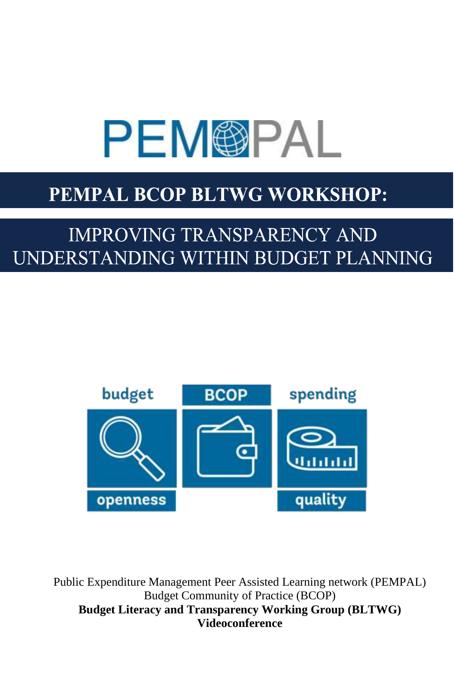# **PEM@PAL**

## PEMPAL BCOP BLTWG WORKSHOP:

# **IMPROVING TRANSPARENCY AND** UNDERSTANDING WITHIN BUDGET PLANNING



Public Expenditure Management Peer Assisted Learning network (PEMPAL) Budget Community of Practice (BCOP) **Budget Literacy and Transparency Working Group (BLTWG) Videoconference**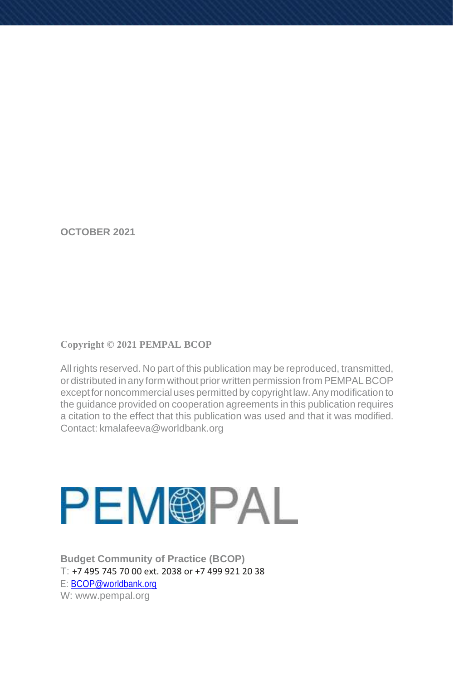**OCTOBER 2021**

#### **Copyright © 2021 PEMPAL BCOP**

All rights reserved. No part of this publication may be reproduced, transmitted, or distributed in any form without prior written permission from PEMPAL BCOP exceptfor noncommercial uses permitted by copyright law.Any modification to the guidance provided on cooperation agreements in this publication requires a citation to the effect that this publication was used and that it was modified. Contact: kmalafeeva@worldbank.org



**Budget Community of Practice (BCOP)** T: +7 495 745 70 00 ext. 2038 or +7 499 921 20 38 E: [BCOP@worldbank.org](mailto:BCOP@worldbank.org) W: [www.pempal.org](http://www.pempal.org/)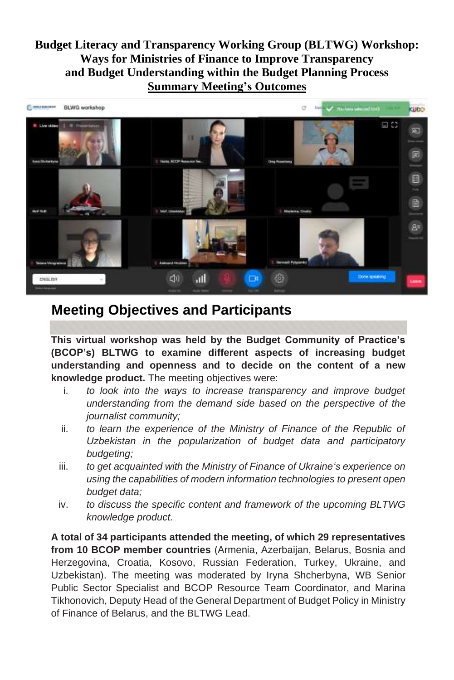**Budget Literacy and Transparency Working Group (BLTWG) Workshop: Ways for Ministries of Finance to Improve Transparency and Budget Understanding within the Budget Planning Process Summary Meeting's Outcomes**



### **Meeting Objectives and Participants**

**This virtual workshop was held by the Budget Community of Practice's (BCOP's) BLTWG to examine different aspects of increasing budget understanding and openness and to decide on the content of a new knowledge product.** The meeting objectives were:

- i. *to look into the ways to increase transparency and improve budget understanding from the demand side based on the perspective of the journalist community;*
- ii. *to learn the experience of the Ministry of Finance of the Republic of Uzbekistan in the popularization of budget data and participatory budgeting;*
- iii. *to get acquainted with the Ministry of Finance of Ukraine's experience on using the capabilities of modern information technologies to present open budget data;*
- iv. *to discuss the specific content and framework of the upcoming BLTWG knowledge product.*

**A total of 34 participants attended the meeting, of which 29 representatives from 10 BCOP member countries** (Armenia, Azerbaijan, Belarus, Bosnia and Herzegovina, Croatia, Kosovo, Russian Federation, Turkey, Ukraine, and Uzbekistan). The meeting was moderated by Iryna Shcherbyna, WB Senior Public Sector Specialist and BCOP Resource Team Coordinator, and Marina Tikhonovich, Deputy Head of the General Department of Budget Policy in Ministry of Finance of Belarus, and the BLTWG Lead.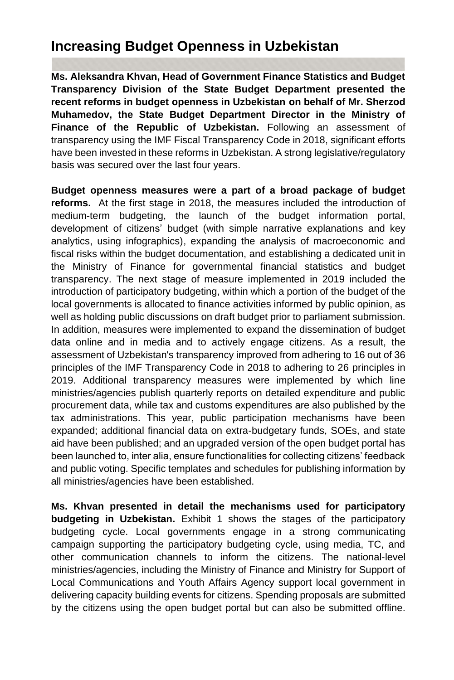## **Increasing Budget Openness in Uzbekistan**

**Ms. Aleksandra Khvan, Head of Government Finance Statistics and Budget Transparency Division of the State Budget Department presented the recent reforms in budget openness in Uzbekistan on behalf of Mr. Sherzod Muhamedov, the State Budget Department Director in the Ministry of Finance of the Republic of Uzbekistan.** Following an assessment of transparency using the IMF Fiscal Transparency Code in 2018, significant efforts have been invested in these reforms in Uzbekistan. A strong legislative/regulatory basis was secured over the last four years.

**Budget openness measures were a part of a broad package of budget reforms.** At the first stage in 2018, the measures included the introduction of medium-term budgeting, the launch of the budget information portal, development of citizens' budget (with simple narrative explanations and key analytics, using infographics), expanding the analysis of macroeconomic and fiscal risks within the budget documentation, and establishing a dedicated unit in the Ministry of Finance for governmental financial statistics and budget transparency. The next stage of measure implemented in 2019 included the introduction of participatory budgeting, within which a portion of the budget of the local governments is allocated to finance activities informed by public opinion, as well as holding public discussions on draft budget prior to parliament submission. In addition, measures were implemented to expand the dissemination of budget data online and in media and to actively engage citizens. As a result, the assessment of Uzbekistan's transparency improved from adhering to 16 out of 36 principles of the IMF Transparency Code in 2018 to adhering to 26 principles in 2019. Additional transparency measures were implemented by which line ministries/agencies publish quarterly reports on detailed expenditure and public procurement data, while tax and customs expenditures are also published by the tax administrations. This year, public participation mechanisms have been expanded; additional financial data on extra-budgetary funds, SOEs, and state aid have been published; and an upgraded version of the open budget portal has been launched to, inter alia, ensure functionalities for collecting citizens' feedback and public voting. Specific templates and schedules for publishing information by all ministries/agencies have been established.

**Ms. Khvan presented in detail the mechanisms used for participatory budgeting in Uzbekistan.** Exhibit 1 shows the stages of the participatory budgeting cycle. Local governments engage in a strong communicating campaign supporting the participatory budgeting cycle, using media, TC, and other communication channels to inform the citizens. The national-level ministries/agencies, including the Ministry of Finance and Ministry for Support of Local Communications and Youth Affairs Agency support local government in delivering capacity building events for citizens. Spending proposals are submitted by the citizens using the open budget portal but can also be submitted offline.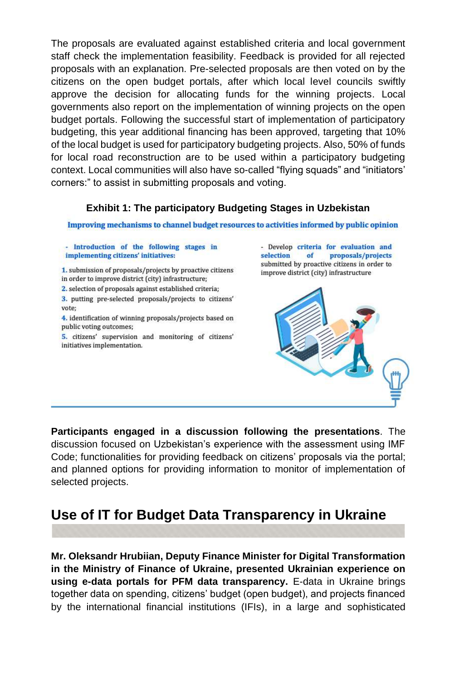The proposals are evaluated against established criteria and local government staff check the implementation feasibility. Feedback is provided for all rejected proposals with an explanation. Pre-selected proposals are then voted on by the citizens on the open budget portals, after which local level councils swiftly approve the decision for allocating funds for the winning projects. Local governments also report on the implementation of winning projects on the open budget portals. Following the successful start of implementation of participatory budgeting, this year additional financing has been approved, targeting that 10% of the local budget is used for participatory budgeting projects. Also, 50% of funds for local road reconstruction are to be used within a participatory budgeting context. Local communities will also have so-called "flying squads" and "initiators' corners:" to assist in submitting proposals and voting.

#### **Exhibit 1: The participatory Budgeting Stages in Uzbekistan**

Improving mechanisms to channel budget resources to activities informed by public opinion

- Introduction of the following stages in implementing citizens' initiatives:

1. submission of proposals/projects by proactive citizens in order to improve district (city) infrastructure;

2. selection of proposals against established criteria;

3. putting pre-selected proposals/projects to citizens' vote:

4. identification of winning proposals/projects based on public voting outcomes;

5. citizens' supervision and monitoring of citizens' initiatives implementation.

- Develop criteria for evaluation and selection  $of$ proposals/projects submitted by proactive citizens in order to improve district (city) infrastructure



**Participants engaged in a discussion following the presentations**. The discussion focused on Uzbekistan's experience with the assessment using IMF Code; functionalities for providing feedback on citizens' proposals via the portal; and planned options for providing information to monitor of implementation of selected projects.

## **Use of IT for Budget Data Transparency in Ukraine**

**Mr. Oleksandr Hrubiian, Deputy Finance Minister for Digital Transformation in the Ministry of Finance of Ukraine, presented Ukrainian experience on using e-data portals for PFM data transparency.** E-data in Ukraine brings together data on spending, citizens' budget (open budget), and projects financed by the international financial institutions (IFIs), in a large and sophisticated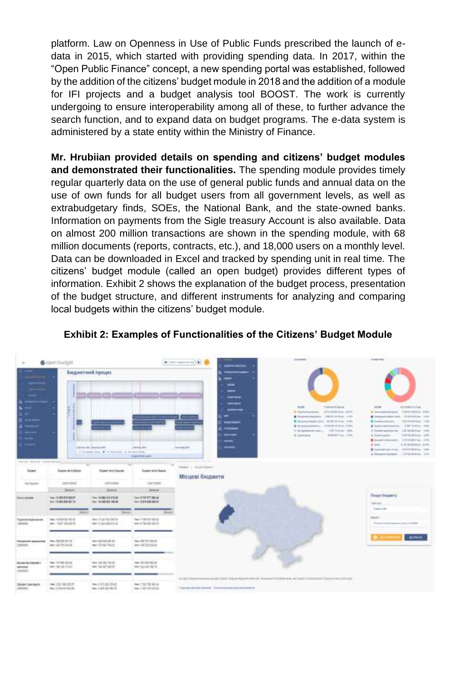platform. Law on Openness in Use of Public Funds prescribed the launch of edata in 2015, which started with providing spending data. In 2017, within the "Open Public Finance" concept, a new spending portal was established, followed by the addition of the citizens' budget module in 2018 and the addition of a module for IFI projects and a budget analysis tool BOOST. The work is currently undergoing to ensure interoperability among all of these, to further advance the search function, and to expand data on budget programs. The e-data system is administered by a state entity within the Ministry of Finance.

**Mr. Hrubiian provided details on spending and citizens' budget modules and demonstrated their functionalities.** The spending module provides timely regular quarterly data on the use of general public funds and annual data on the use of own funds for all budget users from all government levels, as well as extrabudgetary finds, SOEs, the National Bank, and the state-owned banks. Information on payments from the Sigle treasury Account is also available. Data on almost 200 million transactions are shown in the spending module, with 68 million documents (reports, contracts, etc.), and 18,000 users on a monthly level. Data can be downloaded in Excel and tracked by spending unit in real time. The citizens' budget module (called an open budget) provides different types of information. Exhibit 2 shows the explanation of the budget process, presentation of the budget structure, and different instruments for analyzing and comparing local budgets within the citizens' budget module.



#### **Exhibit 2: Examples of Functionalities of the Citizens' Budget Module**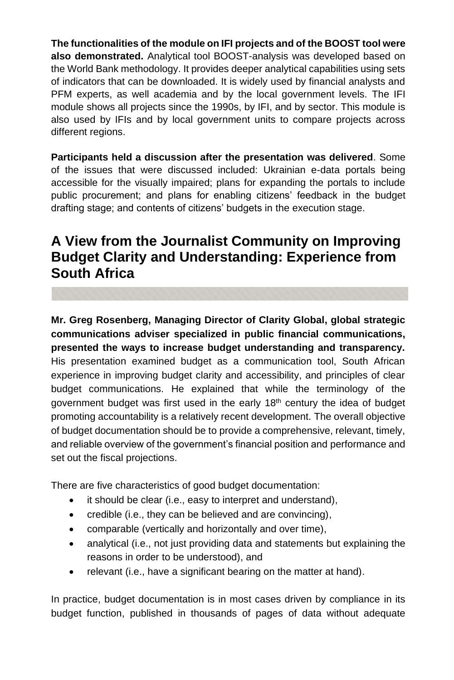**The functionalities of the module on IFI projects and of the BOOST tool were also demonstrated.** Analytical tool BOOST-analysis was developed based on the World Bank methodology. It provides deeper analytical capabilities using sets of indicators that can be downloaded. It is widely used by financial analysts and PFM experts, as well academia and by the local government levels. The IFI module shows all projects since the 1990s, by IFI, and by sector. This module is also used by IFIs and by local government units to compare projects across different regions.

**Participants held a discussion after the presentation was delivered**. Some of the issues that were discussed included: Ukrainian e-data portals being accessible for the visually impaired; plans for expanding the portals to include public procurement; and plans for enabling citizens' feedback in the budget drafting stage; and contents of citizens' budgets in the execution stage.

## **A View from the Journalist Community on Improving Budget Clarity and Understanding: Experience from South Africa**

**Mr. Greg Rosenberg, Managing Director of Clarity Global, global strategic communications adviser specialized in public financial communications, presented the ways to increase budget understanding and transparency.**  His presentation examined budget as a communication tool, South African experience in improving budget clarity and accessibility, and principles of clear budget communications. He explained that while the terminology of the government budget was first used in the early  $18<sup>th</sup>$  century the idea of budget promoting accountability is a relatively recent development. The overall objective of budget documentation should be to provide a comprehensive, relevant, timely, and reliable overview of the government's financial position and performance and set out the fiscal projections.

There are five characteristics of good budget documentation:

- it should be clear (i.e., easy to interpret and understand),
- credible (i.e., they can be believed and are convincing),
- comparable (vertically and horizontally and over time),
- analytical (i.e., not just providing data and statements but explaining the reasons in order to be understood), and
- relevant (i.e., have a significant bearing on the matter at hand).

In practice, budget documentation is in most cases driven by compliance in its budget function, published in thousands of pages of data without adequate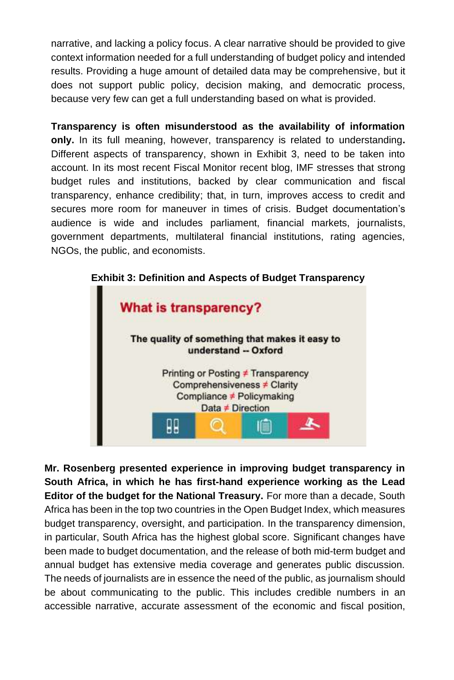narrative, and lacking a policy focus. A clear narrative should be provided to give context information needed for a full understanding of budget policy and intended results. Providing a huge amount of detailed data may be comprehensive, but it does not support public policy, decision making, and democratic process, because very few can get a full understanding based on what is provided.

**Transparency is often misunderstood as the availability of information only.** In its full meaning, however, transparency is related to understanding**.**  Different aspects of transparency, shown in Exhibit 3, need to be taken into account. In its most recent Fiscal Monitor recent blog, IMF stresses that strong budget rules and institutions, backed by clear communication and fiscal transparency, enhance credibility; that, in turn, improves access to credit and secures more room for maneuver in times of crisis. Budget documentation's audience is wide and includes parliament, financial markets, journalists, government departments, multilateral financial institutions, rating agencies, NGOs, the public, and economists.



**Exhibit 3: Definition and Aspects of Budget Transparency**

**Mr. Rosenberg presented experience in improving budget transparency in South Africa, in which he has first-hand experience working as the Lead Editor of the budget for the National Treasury.** For more than a decade, South Africa has been in the top two countries in the Open Budget Index, which measures budget transparency, oversight, and participation. In the transparency dimension, in particular, South Africa has the highest global score. Significant changes have been made to budget documentation, and the release of both mid-term budget and annual budget has extensive media coverage and generates public discussion. The needs of journalists are in essence the need of the public, as journalism should be about communicating to the public. This includes credible numbers in an accessible narrative, accurate assessment of the economic and fiscal position,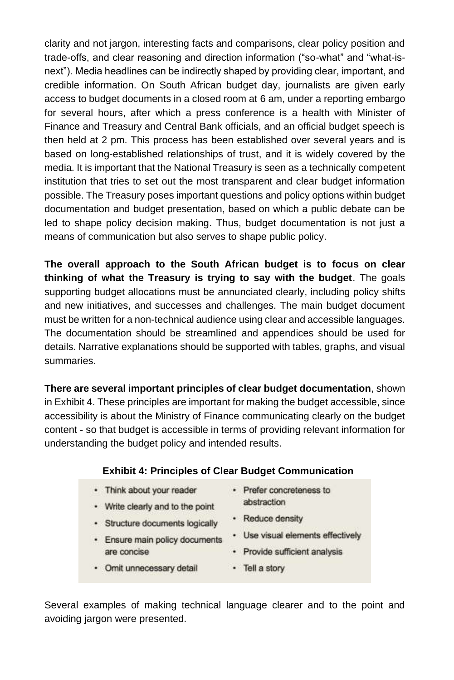clarity and not jargon, interesting facts and comparisons, clear policy position and trade-offs, and clear reasoning and direction information ("so-what" and "what-isnext"). Media headlines can be indirectly shaped by providing clear, important, and credible information. On South African budget day, journalists are given early access to budget documents in a closed room at 6 am, under a reporting embargo for several hours, after which a press conference is a health with Minister of Finance and Treasury and Central Bank officials, and an official budget speech is then held at 2 pm. This process has been established over several years and is based on long-established relationships of trust, and it is widely covered by the media. It is important that the National Treasury is seen as a technically competent institution that tries to set out the most transparent and clear budget information possible. The Treasury poses important questions and policy options within budget documentation and budget presentation, based on which a public debate can be led to shape policy decision making. Thus, budget documentation is not just a means of communication but also serves to shape public policy.

**The overall approach to the South African budget is to focus on clear thinking of what the Treasury is trying to say with the budget**. The goals supporting budget allocations must be annunciated clearly, including policy shifts and new initiatives, and successes and challenges. The main budget document must be written for a non-technical audience using clear and accessible languages. The documentation should be streamlined and appendices should be used for details. Narrative explanations should be supported with tables, graphs, and visual summaries.

**There are several important principles of clear budget documentation**, shown in Exhibit 4. These principles are important for making the budget accessible, since accessibility is about the Ministry of Finance communicating clearly on the budget content - so that budget is accessible in terms of providing relevant information for understanding the budget policy and intended results.

#### **Exhibit 4: Principles of Clear Budget Communication**

- · Think about your reader
- Write clearly and to the point
- · Structure documents logically
- · Ensure main policy documents are concise
- · Prefer concreteness to abstraction
- Reduce density
- · Use visual elements effectively
- 
- · Omit unnecessary detail
- · Provide sufficient analysis
- · Tell a story

Several examples of making technical language clearer and to the point and avoiding jargon were presented.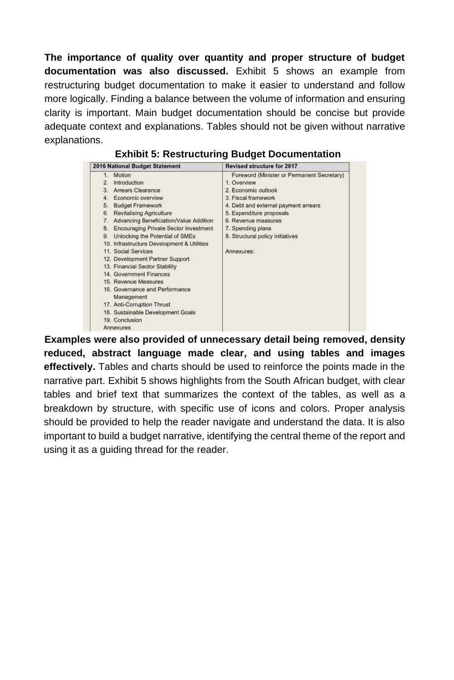**The importance of quality over quantity and proper structure of budget documentation was also discussed.** Exhibit 5 shows an example from restructuring budget documentation to make it easier to understand and follow more logically. Finding a balance between the volume of information and ensuring clarity is important. Main budget documentation should be concise but provide adequate context and explanations. Tables should not be given without narrative explanations.

**Exhibit 5: Restructuring Budget Documentation**

**Examples were also provided of unnecessary detail being removed, density reduced, abstract language made clear, and using tables and images effectively.** Tables and charts should be used to reinforce the points made in the narrative part. Exhibit 5 shows highlights from the South African budget, with clear tables and brief text that summarizes the context of the tables, as well as a breakdown by structure, with specific use of icons and colors. Proper analysis should be provided to help the reader navigate and understand the data. It is also important to build a budget narrative, identifying the central theme of the report and using it as a guiding thread for the reader.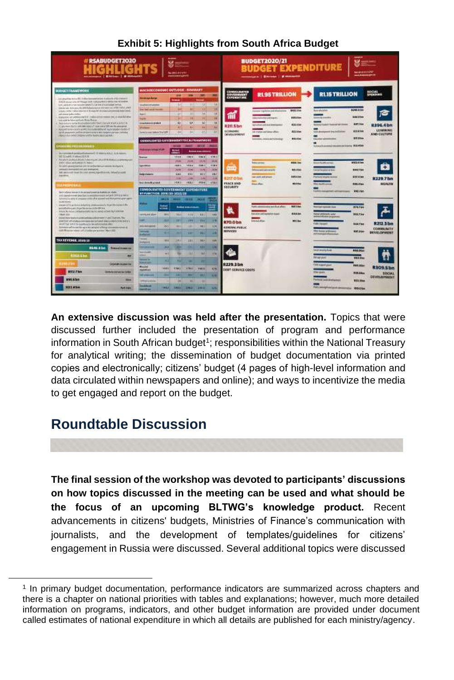| <br>#RSABUDGET2020<br>8 mm<br>The MCC (Editorial<br><b>All Editor Company</b><br>minimum   Elitim   Primary                                                                                                                                                                                                                                                                                                                                                                                                                                                                                                                                                                                                                                                                                                                                                                                                                                                                                                                                                                                                      |                                                                                                                                                                                                                                                                                 |                                                             |                                                                                            |                                                                                                        |                                                                             |                                                                                     | ---<br><b>BUDGET2020/21</b><br>--<br><b>BUDGET EXPENDITURE</b><br><b>MAGNISON</b><br><b>MARGARETA</b> |                                                                                                                                                                                             |                                                                                    |                                                                                                                                                                                                                       |                                                                                                                                              |  |
|------------------------------------------------------------------------------------------------------------------------------------------------------------------------------------------------------------------------------------------------------------------------------------------------------------------------------------------------------------------------------------------------------------------------------------------------------------------------------------------------------------------------------------------------------------------------------------------------------------------------------------------------------------------------------------------------------------------------------------------------------------------------------------------------------------------------------------------------------------------------------------------------------------------------------------------------------------------------------------------------------------------------------------------------------------------------------------------------------------------|---------------------------------------------------------------------------------------------------------------------------------------------------------------------------------------------------------------------------------------------------------------------------------|-------------------------------------------------------------|--------------------------------------------------------------------------------------------|--------------------------------------------------------------------------------------------------------|-----------------------------------------------------------------------------|-------------------------------------------------------------------------------------|-------------------------------------------------------------------------------------------------------|---------------------------------------------------------------------------------------------------------------------------------------------------------------------------------------------|------------------------------------------------------------------------------------|-----------------------------------------------------------------------------------------------------------------------------------------------------------------------------------------------------------------------|----------------------------------------------------------------------------------------------------------------------------------------------|--|
| <b>BUBGETTRANEWORK</b><br>in gradies total \$1,5000 because your instants PE-198997.<br>RAZ muse into 27 Thick DO not planet it collective fidential.<br>curry, published curry resourcing products of the time of municipal memory.<br>One layer, three way, the prevention and a company in a week which which<br>school close it silve relates at thoughlift of consulations and belowed.<br>and six and pulmy staffers<br>inalizative art pitting and list or above the names (exp or exactly after<br>warrangle for have publically fished from an -<br>Business to take it interests to the hotel product of a left of do<br>Convenience of the control of the control of the control of<br>Average for the ASS of the Content of the ASS of the ASS of the ASS of the ASS of the ASS of the ASS of the ASS of the ASS of the ASS of the ASS of the ASS of the ASS of the ASS of the ASS of the ASS of the ASS of the ASS<br>by the products and on an appropriate and the product change of the<br>Hard an Auto Artist Childhouse and M. M. Model in Let Walk<br><b>PERMIT DRIVING STRUCK CORPORATION</b> | MACROECOMOMIC GOTLOGIC - EEMMATI<br><b>Distances during</b><br><b>Guitarreures</b><br><b>Since East such a Station</b><br><b>Ranch</b><br><b>August</b><br><b>Analysis paint</b><br><b>Washing</b><br>Severial case index Tre '109<br>CONSOLIDATED COVIDENS FOTO CALIFULNING OS |                                                             | <b>Prest</b><br>متعامل<br>the<br>٠<br>÷<br>33<br>$\ddot{\phantom{1}}$<br>w<br><b>BRAND</b> | <b>CO</b><br><b>BIL</b><br><b>BOY</b><br>m<br>$\left  \cdot \right $<br><b>KB</b><br><b>AR</b><br>$+1$ | $-3471$<br>ing.<br>36<br>ш<br>u<br>n.<br>3.4.1<br><b>Social Mills Mills</b> | m<br>TER<br>m<br>14<br>38<br>$\overline{\mathbf{u}}$<br><b>TE</b><br>$\overline{1}$ | CONSCUORTER<br>SOVISIBILITY<br><b>#211 S bn</b><br><b>ECONOMIC</b><br>OFFICIALMENT                    | <b>RL95 TRILLION</b><br>any washing individual and<br><b>Manufacturer only supply</b><br>actualization in the firm former<br>int cruiter and since after-<br>common interest and behinding? | <b>WOO LINE</b><br><b><i>B26-01am</i></b><br>428,100<br><b>ADDITION</b><br>800,000 | <b>RLISTRILLION</b><br><b>Business Advisers</b><br>population of the local and a series<br>All Announces pay infinite<br><b><i>San Mark Admin</i></b><br>In force it construct thousand and institute. \$12,4004.     | SOCIAL<br>EMERCHINIS<br><b>RINE 4 OH</b><br><b>Gold dilens</b><br>837004<br>R196.4 bn<br>LEASURDED<br>411404<br>AND-CULTURE<br><b>BITJIN</b> |  |
| in constant American Assembly in manipulated Arts Assem-<br><b>Infiltrated Value Children</b><br>An which provided the first than the company of the distribution of the company of<br>WAY I Stout adolesment N. Need.<br>This dealer government and the terms that better concentrate standards in<br>promptly prompted and and premiering<br>tel: as in risk boards cost assed Equities (it), 14 bot 5 colds<br><b>Installated</b><br><b>DERNICHSELLER</b><br>for in before investor in Assembly to permit to detect and related<br>and constrained products and discovered in Carity fields a set of                                                                                                                                                                                                                                                                                                                                                                                                                                                                                                          | <b><i><u><i><u><b>Hillmage order</b></u></i></u></i></b><br><b>Braman</b><br><b>GALANCIA</b><br><b>Baltim Moore</b><br>late down to probe !<br>CONSOLIDATES GOVERNMENT EXPENSIONAL<br>BIT PLANCYHON (2016) 213-2022 (23)                                                        |                                                             | 監<br>120.9<br>19.000<br>1981<br>19,156<br><b>ALL</b><br><b>Ang</b><br>2553                 | 1981<br>29.146<br><b>TESTA</b><br><b>Hill</b><br><b>XV</b><br>÷<br>14,837                              | ------<br>1161<br>19.79.<br><b>HALL</b><br>10/6<br>94.4<br>m<br><b>Haal</b> | she a<br>29.292<br>1186<br>Abr<br><b>VEZ</b><br><b>Tek</b><br><b>Atas</b>           | <b>JILO bn</b><br>FEACE AND<br><b>SEQUEITY</b>                                                        | <b><i><u>International</u></i></b><br><b>Informa procupits excells</b><br>particular and private<br><b>Based of Land</b>                                                                    | <b>ASSAULT</b><br><b>WELFARE</b><br><b><i><u>RASSIM</u></i></b><br><b>MAIN</b>     | <b>CONTRACTOR</b><br>arran'i mondaina da c<br><b>Salta McMounts sense</b><br><b><i><u>SERIES AND ARRAIGN</u></i></b>                                                                                                  | <b>BACK COM</b><br>$+$<br><b>BARTING</b><br><b>GXF G ford</b><br>R229.7bm<br>HEALTH<br><b>RELAW</b><br><b>WWEITER</b>                        |  |
| Another's pain of program costs of at assess with the permanent and<br><b>BUNYVIOTE</b><br>Always of Countries defeative available of a building search Big<br>association are a legal for incommisting the top of<br>more the interest and an artist the term of the con-<br>Heat Mus.<br>down movie and advances are that Survey, No.<br>mented of status connect decorated status (AVI/2.5 Millet)<br>we art that solid the new possible decade for a term of<br>limiters of mixels agrests server about ensurance and at<br>in Finance verso a ELEAN process That ED                                                                                                                                                                                                                                                                                                                                                                                                                                                                                                                                         | services in the<br>Only discussions<br>$-$<br><b><i><u>Industrial</u></i></b><br><b>House</b>                                                                                                                                                                                   | - 11 3<br><b>head</b><br>1911<br>٠<br>m<br>÷                | --<br>m<br>m<br>$\sim$                                                                     | <b>STATISTICS</b><br><b><i><u><u>Ankermann</u></u></i></b><br>18/030<br><b>TIME</b><br>÷<br>œ          | 181<br>49.9<br>461                                                          | εĦ<br>ш<br><b>COL</b><br><br><b>ADK</b><br>×                                        | <b>R70.0 bm</b><br><b>CONTRACTABLE</b><br><b>NOVCEE</b>                                               | Public administration with \$1.4 phone<br><b>Executive and Joseph Inn expans</b><br><b>Librical affirm</b>                                                                                  | <b>BAV 6 km</b><br><b>614.6m</b><br><b>RETAIL</b>                                  | <b>Lat. Account Class</b><br><b>New attitute, vida</b><br><b>Harmon Russian and a</b><br><b>Colle Tipranti</b><br>this home in the<br>and Assessment and                                                              | 874.7 km<br>315.734<br>R212 1 bn<br><b>BAKYNN</b><br><b>COMMUNITY</b><br><b>KATJA</b> m<br><b>DEVELOPMENT</b>                                |  |
| TAN REVENUE 2020/21<br><b>RENK RIM</b><br>Pressod immerites<br><b>R368 5 50</b><br>m<br><b>Promised</b><br>GOOD FLOWERS<br><b>UTEZ 7 km</b><br><b>BANKING BANKING SAFEKEE</b><br>animusika base<br>$\equiv$<br><b>ART 47mm</b><br><b>Audi makes</b>                                                                                                                                                                                                                                                                                                                                                                                                                                                                                                                                                                                                                                                                                                                                                                                                                                                              | <b>Industries</b><br><b>141100000</b><br><b>Non-Venture</b><br><b>MAG</b><br>$-$<br><b>Now of Lot</b><br>Mazdal <sup>2</sup><br>Elbowskies<br><b>Marketing</b><br>Difference in Scholars<br>--<br>---                                                                           | 2811<br><br>$\sim$<br><br><b>WALK</b><br>=<br><b>SERUIT</b> | 281<br><br>10048<br>ш<br>×<br><b>LIBER !!</b>                                              | 131<br>٠<br>и<br><b>STREET</b><br><br>и<br><b>THU THEFT</b>                                            | <b>NLF</b><br>m<br><b>AF</b><br>w<br>11033<br>-<br>18.81                    | 444<br>w<br>4346<br>-<br><b>Senti</b>                                               | R229.3 bn<br><b>DERT SERVICE COOPS</b>                                                                |                                                                                                                                                                                             |                                                                                    | <b>Anuli anulity fund</b><br><b>Pel per anynt</b><br><b>TERE magazing prest</b><br><b>The guess</b><br><b>Which installments</b><br><b>Public entering the case of the Adventure Controller Controller Controller</b> | <b>MAR OTH</b><br>991104<br><b>PARTIES</b><br><b>R309.5 bm</b><br><b>RISGIN</b><br><b>SIDCIAL</b><br>DEVILOPMENT<br><b>William</b>           |  |

#### **Exhibit 5: Highlights from South Africa Budget**

**An extensive discussion was held after the presentation.** Topics that were discussed further included the presentation of program and performance information in South African budget<sup>1</sup>; responsibilities within the National Treasury for analytical writing; the dissemination of budget documentation via printed copies and electronically; citizens' budget (4 pages of high-level information and data circulated within newspapers and online); and ways to incentivize the media to get engaged and report on the budget.

## **Roundtable Discussion**

**The final session of the workshop was devoted to participants' discussions on how topics discussed in the meeting can be used and what should be the focus of an upcoming BLTWG's knowledge product.** Recent advancements in citizens' budgets, Ministries of Finance's communication with journalists, and the development of templates/guidelines for citizens' engagement in Russia were discussed. Several additional topics were discussed

<sup>1</sup> In primary budget documentation, performance indicators are summarized across chapters and there is a chapter on national priorities with tables and explanations; however, much more detailed information on programs, indicators, and other budget information are provided under document called estimates of national expenditure in which all details are published for each ministry/agency.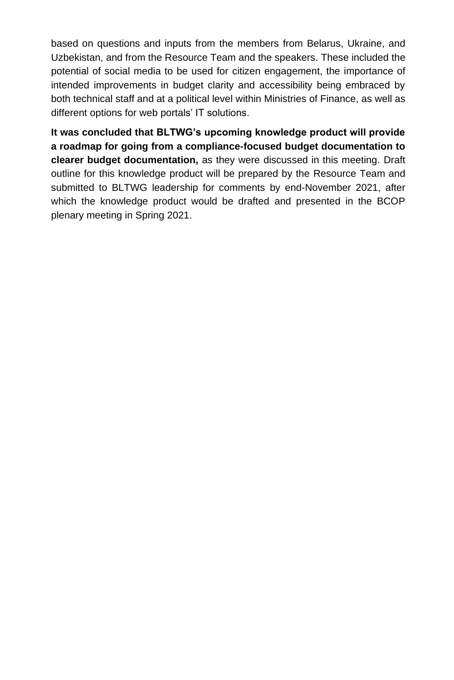based on questions and inputs from the members from Belarus, Ukraine, and Uzbekistan, and from the Resource Team and the speakers. These included the potential of social media to be used for citizen engagement, the importance of intended improvements in budget clarity and accessibility being embraced by both technical staff and at a political level within Ministries of Finance, as well as different options for web portals' IT solutions.

**It was concluded that BLTWG's upcoming knowledge product will provide a roadmap for going from a compliance-focused budget documentation to clearer budget documentation,** as they were discussed in this meeting. Draft outline for this knowledge product will be prepared by the Resource Team and submitted to BLTWG leadership for comments by end-November 2021, after which the knowledge product would be drafted and presented in the BCOP plenary meeting in Spring 2021.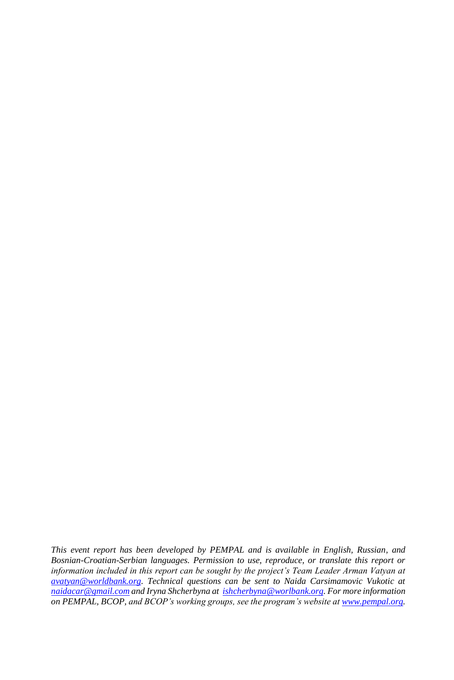*This event report has been developed by PEMPAL and is available in English, Russian, and Bosnian-Croatian-Serbian languages. Permission to use, reproduce, or translate this report or information included in this report can be sought by the project's Team Leader Arman Vatyan at [avatyan@worldbank.org.](mailto:avatyan@worldbank.org) Technical questions can be sent to Naida Carsimamovic Vukotic at [naidacar@gmail.com](mailto:naidacar@gmail.com) and Iryna Shcherbyna at [ishcherbyna@worlbank.org.](mailto:ishcherbyna@worlbank.org) For more information on PEMPAL, BCOP, and BCOP's working groups, see the program's website a[t www.pempal.org.](http://www.pempal.org/)*